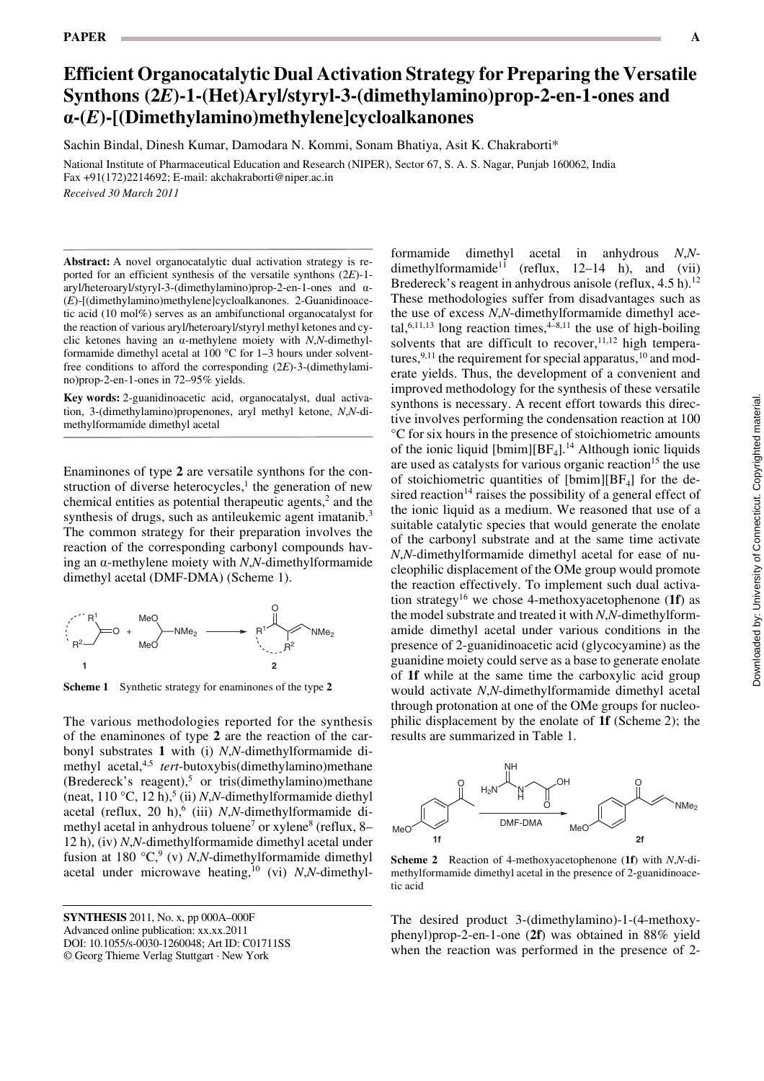# **Efficient Organocatalytic Dual Activation Strategy for Preparing the Versatile Synthons (2***E***)-1-(Het)Aryl/styryl-3-(dimethylamino)prop-2-en-1-ones and a-(***E***)-[(Dimethylamino)methylene]cycloalkanones**

Sachin Bindal, Dinesh Kumar, Damodara N. Kommi, Sonam Bhatiya, Asit K. Chakraborti\*

National Institute of Pharmaceutical Education and Research (NIPER), Sector 67, S. A. S. Nagar, Punjab 160062, India Fax +91(172)2214692; E-mail: akchakraborti@niper.ac.in *Received 30 March 2011*

**Abstract:** A novel organocatalytic dual activation strategy is reported for an efficient synthesis of the versatile synthons (2*E*)-1 aryl/heteroaryl/styryl-3-(dimethylamino)prop-2-en-1-ones and a- (*E*)-[(dimethylamino)methylene]cycloalkanones. 2-Guanidinoacetic acid (10 mol%) serves as an ambifunctional organocatalyst for the reaction of various aryl/heteroaryl/styryl methyl ketones and cyclic ketones having an a-methylene moiety with *N*,*N*-dimethylformamide dimethyl acetal at 100 °C for 1–3 hours under solventfree conditions to afford the corresponding (2*E*)-3-(dimethylamino)prop-2-en-1-ones in 72–95% yields.

**Key words:** 2-guanidinoacetic acid, organocatalyst, dual activation, 3-(dimethylamino)propenones, aryl methyl ketone, *N*,*N*-dimethylformamide dimethyl acetal

Enaminones of type **2** are versatile synthons for the construction of diverse heterocycles,<sup>1</sup> the generation of new chemical entities as potential therapeutic agents,<sup>2</sup> and the synthesis of drugs, such as antileukemic agent imatanib.<sup>3</sup> The common strategy for their preparation involves the reaction of the corresponding carbonyl compounds having an a-methylene moiety with *N*,*N*-dimethylformamide dimethyl acetal (DMF-DMA) (Scheme 1).



**Scheme 1** Synthetic strategy for enaminones of the type **2**

The various methodologies reported for the synthesis of the enaminones of type **2** are the reaction of the carbonyl substrates **1** with (i) *N*,*N*-dimethylformamide dimethyl acetal,4,5 *tert*-butoxybis(dimethylamino)methane (Bredereck's reagent),<sup>5</sup> or tris(dimethylamino)methane (neat, 110 °C, 12 h),<sup>5</sup> (ii) *N*,*N*-dimethylformamide diethyl acetal (reflux, 20 h),<sup>6</sup> (iii) *N*,*N*-dimethylformamide dimethyl acetal in anhydrous toluene<sup>7</sup> or xylene<sup>8</sup> (reflux, 8– 12 h), (iv) *N*,*N*-dimethylformamide dimethyl acetal under fusion at 180 °C,<sup>9</sup> (v) *N*,*N*-dimethylformamide dimethyl acetal under microwave heating,<sup>10</sup> (vi) *N*,*N*-dimethyl-

**SYNTHESIS** 2011, No. x, pp 000A-000F Advanced online publication: xx.xx.2011 DOI: 10.1055/s-0030-1260048; Art ID: C01711SS © Georg Thieme Verlag Stuttgart · New York

formamide dimethyl acetal in anhydrous *N*,*N*dimethylformamide<sup>11</sup> (reflux, 12–14 h), and (vii) Bredereck's reagent in anhydrous anisole (reflux,  $4.5$  h).<sup>12</sup> These methodologies suffer from disadvantages such as the use of excess *N*,*N*-dimethylformamide dimethyl acetal,<sup>6,11,13</sup> long reaction times,<sup>4–8,11</sup> the use of high-boiling solvents that are difficult to recover,  $11,12$  high temperatures,  $9,11$  the requirement for special apparatus,  $10$  and moderate yields. Thus, the development of a convenient and improved methodology for the synthesis of these versatile synthons is necessary. A recent effort towards this directive involves performing the condensation reaction at 100 °C for six hours in the presence of stoichiometric amounts of the ionic liquid  $[bmin][BF<sub>4</sub>].<sup>14</sup>$  Although ionic liquids are used as catalysts for various organic reaction<sup>15</sup> the use of stoichiometric quantities of  $[bmin][BF<sub>4</sub>]$  for the desired reaction<sup>14</sup> raises the possibility of a general effect of the ionic liquid as a medium. We reasoned that use of a suitable catalytic species that would generate the enolate of the carbonyl substrate and at the same time activate *N*,*N*-dimethylformamide dimethyl acetal for ease of nucleophilic displacement of the OMe group would promote the reaction effectively. To implement such dual activation strategy16 we chose 4-methoxyacetophenone (**1f**) as the model substrate and treated it with *N*,*N*-dimethylformamide dimethyl acetal under various conditions in the presence of 2-guanidinoacetic acid (glycocyamine) as the guanidine moiety could serve as a base to generate enolate of **1f** while at the same time the carboxylic acid group would activate *N*,*N*-dimethylformamide dimethyl acetal through protonation at one of the OMe groups for nucleophilic displacement by the enolate of **1f** (Scheme 2); the results are summarized in Table 1.



**Scheme 2** Reaction of 4-methoxyacetophenone (**1f**) with *N*,*N*-dimethylformamide dimethyl acetal in the presence of 2-guanidinoacetic acid

The desired product 3-(dimethylamino)-1-(4-methoxyphenyl)prop-2-en-1-one (**2f**) was obtained in 88% yield when the reaction was performed in the presence of 2-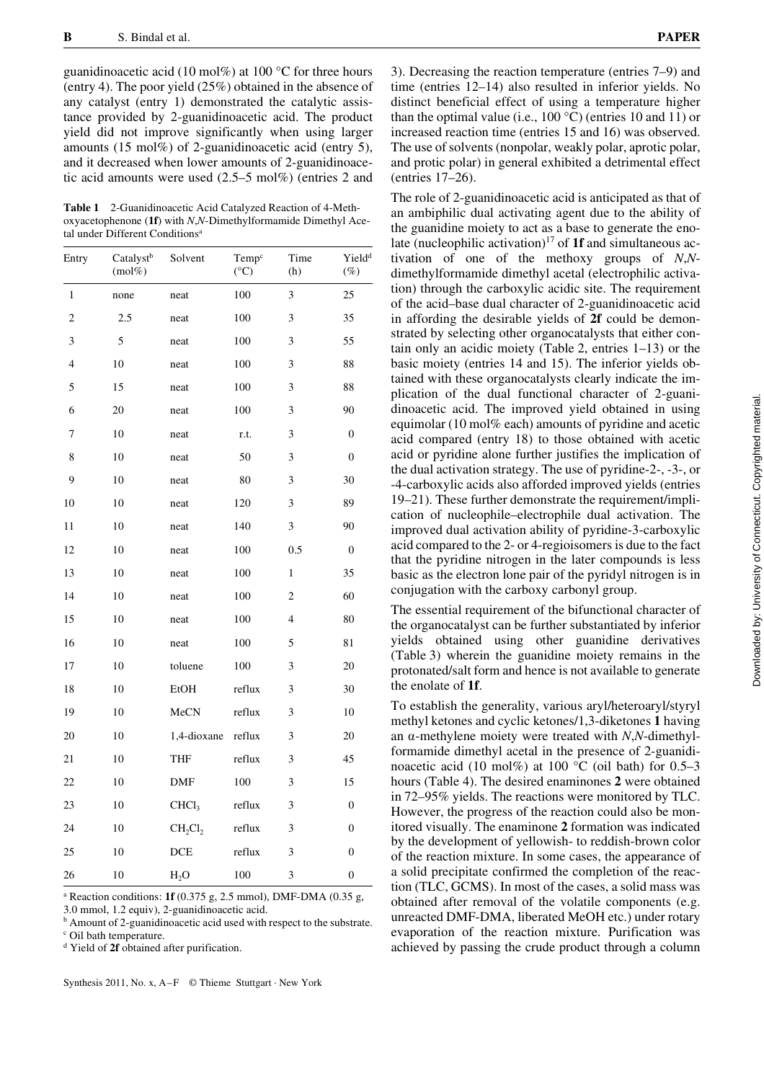guanidinoacetic acid (10 mol%) at 100  $\degree$ C for three hours (entry 4). The poor yield (25%) obtained in the absence of any catalyst (entry 1) demonstrated the catalytic assistance provided by 2-guanidinoacetic acid. The product yield did not improve significantly when using larger amounts (15 mol%) of 2-guanidinoacetic acid (entry 5), and it decreased when lower amounts of 2-guanidinoacetic acid amounts were used (2.5–5 mol%) (entries 2 and

**Table 1** 2-Guanidinoacetic Acid Catalyzed Reaction of 4-Methoxyacetophenone (**1f**) with *N*,*N*-Dimethylformamide Dimethyl Acetal under Different Conditions<sup>a</sup>

| Entry          | Catalyst <sup>b</sup><br>$(mol\%)$ | Solvent           | Temp <sup>c</sup><br>$({}^{\circ}C)$ | Time<br>(h)    | Yield <sup>d</sup><br>$(\%)$ |
|----------------|------------------------------------|-------------------|--------------------------------------|----------------|------------------------------|
| 1              | none                               | neat              | 100                                  | 3              | 25                           |
| $\sqrt{2}$     | 2.5                                | neat              | 100                                  | 3              | 35                           |
| 3              | 5                                  | neat              | 100                                  | 3              | 55                           |
| $\overline{4}$ | 10                                 | neat              | 100                                  | 3              | 88                           |
| 5              | 15                                 | neat              | 100                                  | 3              | 88                           |
| 6              | 20                                 | neat              | 100                                  | 3              | 90                           |
| 7              | 10                                 | neat              | r.t.                                 | 3              | $\boldsymbol{0}$             |
| 8              | 10                                 | neat              | 50                                   | 3              | $\overline{0}$               |
| 9              | 10                                 | neat              | 80                                   | 3              | 30                           |
| 10             | 10                                 | neat              | 120                                  | 3              | 89                           |
| 11             | 10                                 | neat              | 140                                  | $\overline{3}$ | 90                           |
| 12             | 10                                 | neat              | 100                                  | 0.5            | $\boldsymbol{0}$             |
| 13             | 10                                 | neat              | 100                                  | $\mathbf{1}$   | 35                           |
| 14             | 10                                 | neat              | 100                                  | 2              | 60                           |
| 15             | 10                                 | neat              | 100                                  | $\overline{4}$ | 80                           |
| 16             | 10                                 | neat              | 100                                  | 5              | 81                           |
| 17             | 10                                 | toluene           | 100                                  | 3              | 20                           |
| 18             | 10                                 | EtOH              | reflux                               | 3              | 30                           |
| 19             | 10                                 | MeCN              | reflux                               | 3              | 10                           |
| 20             | 10                                 | 1,4-dioxane       | reflux                               | 3              | 20                           |
| 21             | 10                                 | <b>THF</b>        | reflux                               | 3              | 45                           |
| 22             | 10                                 | DMF               | 100                                  | 3              | 15                           |
| 23             | 10                                 | CHCl <sub>3</sub> | reflux                               | 3              | $\boldsymbol{0}$             |
| 24             | 10                                 | $CH_2Cl_2$        | reflux                               | 3              | $\boldsymbol{0}$             |
| 25             | 10                                 | DCE               | reflux                               | 3              | $\boldsymbol{0}$             |
| 26             | 10                                 | $H_2O$            | 100                                  | 3              | $\boldsymbol{0}$             |

a Reaction conditions: **1f** (0.375 g, 2.5 mmol), DMF-DMA (0.35 g, 3.0 mmol, 1.2 equiv), 2-guanidinoacetic acid.

<sup>b</sup> Amount of 2-guanidinoacetic acid used with respect to the substrate. c Oil bath temperature.

d Yield of **2f** obtained after purification.

Synthesis 2011, No. x,  $A-F$  © Thieme Stuttgart · New York

3). Decreasing the reaction temperature (entries 7–9) and time (entries 12–14) also resulted in inferior yields. No distinct beneficial effect of using a temperature higher than the optimal value (i.e., 100 °C) (entries 10 and 11) or increased reaction time (entries 15 and 16) was observed. The use of solvents (nonpolar, weakly polar, aprotic polar, and protic polar) in general exhibited a detrimental effect (entries 17–26).

The role of 2-guanidinoacetic acid is anticipated as that of an ambiphilic dual activating agent due to the ability of the guanidine moiety to act as a base to generate the enolate (nucleophilic activation)17 of **1f** and simultaneous activation of one of the methoxy groups of *N*,*N*dimethylformamide dimethyl acetal (electrophilic activation) through the carboxylic acidic site. The requirement of the acid–base dual character of 2-guanidinoacetic acid in affording the desirable yields of **2f** could be demonstrated by selecting other organocatalysts that either contain only an acidic moiety (Table 2, entries 1–13) or the basic moiety (entries 14 and 15). The inferior yields obtained with these organocatalysts clearly indicate the implication of the dual functional character of 2-guanidinoacetic acid. The improved yield obtained in using equimolar (10 mol% each) amounts of pyridine and acetic acid compared (entry 18) to those obtained with acetic acid or pyridine alone further justifies the implication of the dual activation strategy. The use of pyridine-2-, -3-, or -4-carboxylic acids also afforded improved yields (entries 19–21). These further demonstrate the requirement/implication of nucleophile–electrophile dual activation. The improved dual activation ability of pyridine-3-carboxylic acid compared to the 2- or 4-regioisomers is due to the fact that the pyridine nitrogen in the later compounds is less basic as the electron lone pair of the pyridyl nitrogen is in conjugation with the carboxy carbonyl group.

The essential requirement of the bifunctional character of the organocatalyst can be further substantiated by inferior yields obtained using other guanidine derivatives (Table 3) wherein the guanidine moiety remains in the protonated/salt form and hence is not available to generate the enolate of **1f**.

To establish the generality, various aryl/heteroaryl/styryl methyl ketones and cyclic ketones/1,3-diketones **1** having an a-methylene moiety were treated with *N*,*N*-dimethylformamide dimethyl acetal in the presence of 2-guanidinoacetic acid (10 mol%) at 100  $^{\circ}$ C (oil bath) for 0.5–3 hours (Table 4). The desired enaminones **2** were obtained in 72–95% yields. The reactions were monitored by TLC. However, the progress of the reaction could also be monitored visually. The enaminone **2** formation was indicated by the development of yellowish- to reddish-brown color of the reaction mixture. In some cases, the appearance of a solid precipitate confirmed the completion of the reaction (TLC, GCMS). In most of the cases, a solid mass was obtained after removal of the volatile components (e.g. unreacted DMF-DMA, liberated MeOH etc.) under rotary evaporation of the reaction mixture. Purification was achieved by passing the crude product through a column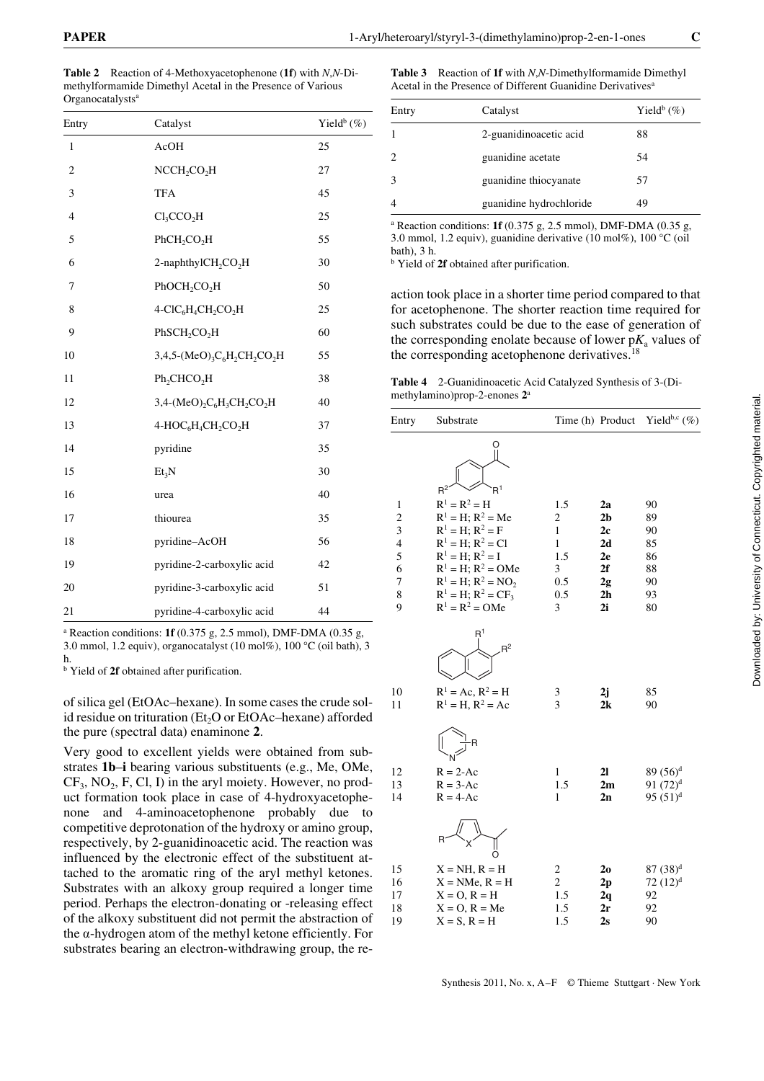**Table 2** Reaction of 4-Methoxyacetophenone (**1f**) with *N*,*N*-Dimethylformamide Dimethyl Acetal in the Presence of Various Organocatalysts<sup>a</sup>

| Entry          | Catalyst                                                                                   | Yield <sup>b</sup> $(\%)$ |
|----------------|--------------------------------------------------------------------------------------------|---------------------------|
| $\mathbf{1}$   | AcOH                                                                                       | 25                        |
| $\overline{c}$ | NCCH <sub>2</sub> CO <sub>2</sub> H                                                        | 27                        |
| 3              | <b>TFA</b>                                                                                 | 45                        |
| $\overline{4}$ | Cl <sub>3</sub> CCO <sub>2</sub> H                                                         | 25                        |
| 5              | PhCH <sub>2</sub> CO <sub>2</sub> H                                                        | 55                        |
| 6              | 2-naphthylCH <sub>2</sub> CO <sub>2</sub> H                                                | 30                        |
| 7              | $PhOCH_2CO_2H$                                                                             | 50                        |
| 8              | 4-ClC <sub>6</sub> H <sub>4</sub> CH <sub>2</sub> CO <sub>2</sub> H                        | 25                        |
| 9              | PhSCH <sub>2</sub> CO <sub>2</sub> H                                                       | 60                        |
| 10             | $3,4,5-(MeO)$ <sub>3</sub> C <sub>6</sub> H <sub>2</sub> CH <sub>2</sub> CO <sub>2</sub> H | 55                        |
| 11             | Ph <sub>2</sub> CHCO <sub>2</sub> H                                                        | 38                        |
| 12             | $3,4-(MeO)$ <sub>2</sub> $C6H$ <sub>3</sub> $CH2CO2H$                                      | 40                        |
| 13             | 4-HOC <sub>6</sub> H <sub>4</sub> CH <sub>2</sub> CO <sub>2</sub> H                        | 37                        |
| 14             | pyridine                                                                                   | 35                        |
| 15             | Et <sub>3</sub> N                                                                          | 30                        |
| 16             | urea                                                                                       | 40                        |
| 17             | thiourea                                                                                   | 35                        |
| 18             | pyridine-AcOH                                                                              | 56                        |
| 19             | pyridine-2-carboxylic acid                                                                 | 42                        |
| 20             | pyridine-3-carboxylic acid                                                                 | 51                        |
| 21             | pyridine-4-carboxylic acid                                                                 | 44                        |

a Reaction conditions: **1f** (0.375 g, 2.5 mmol), DMF-DMA (0.35 g, 3.0 mmol, 1.2 equiv), organocatalyst (10 mol%), 100 °C (oil bath), 3 h.

<sup>b</sup> Yield of 2f obtained after purification.

of silica gel (EtOAc–hexane). In some cases the crude solid residue on trituration (Et<sub>2</sub>O or EtOAc–hexane) afforded the pure (spectral data) enaminone **2**.

Very good to excellent yields were obtained from substrates **1b**–**i** bearing various substituents (e.g., Me, OMe,  $CF_3$ , NO<sub>2</sub>, F, Cl, I) in the aryl moiety. However, no product formation took place in case of 4-hydroxyacetophenone and 4-aminoacetophenone probably due to competitive deprotonation of the hydroxy or amino group, respectively, by 2-guanidinoacetic acid. The reaction was influenced by the electronic effect of the substituent attached to the aromatic ring of the aryl methyl ketones. Substrates with an alkoxy group required a longer time period. Perhaps the electron-donating or -releasing effect of the alkoxy substituent did not permit the abstraction of the  $\alpha$ -hydrogen atom of the methyl ketone efficiently. For substrates bearing an electron-withdrawing group, the re-

**Table 3** Reaction of **1f** with *N*,*N*-Dimethylformamide Dimethyl Acetal in the Presence of Different Guanidine Derivatives<sup>a</sup>

| Entry         | Catalyst                | Yield <sup>b</sup> $(\%)$ |
|---------------|-------------------------|---------------------------|
|               | 2-guanidinoacetic acid  | 88                        |
| $\mathcal{L}$ | guanidine acetate       | 54                        |
|               | guanidine thiocyanate   | 57                        |
|               | guanidine hydrochloride | 49                        |

a Reaction conditions: **1f** (0.375 g, 2.5 mmol), DMF-DMA (0.35 g, 3.0 mmol, 1.2 equiv), guanidine derivative (10 mol%), 100 °C (oil bath), 3 h.

b Yield of **2f** obtained after purification.

action took place in a shorter time period compared to that for acetophenone. The shorter reaction time required for such substrates could be due to the ease of generation of the corresponding enolate because of lower  $pK_a$  values of the corresponding acetophenone derivatives.<sup>18</sup>

**Table 4** 2-Guanidinoacetic Acid Catalyzed Synthesis of 3-(Dimethylamino)prop-2-enones **2**<sup>a</sup>

| Entry                   | Substrate                                     |                         | Time (h) Product | Yield <sup>b,c</sup> $(\%)$ |
|-------------------------|-----------------------------------------------|-------------------------|------------------|-----------------------------|
|                         | R <sup>1</sup><br>$R^2$                       |                         |                  |                             |
| $\mathbf{1}$            | $R^1 = R^2 = H$                               | 1.5                     | 2a               | 90                          |
| $\overline{c}$          | $R^1 = H$ ; $R^2 = Me$                        | $\overline{\mathbf{c}}$ | 2 <sub>b</sub>   | 89                          |
| $\overline{\mathbf{3}}$ | $R^1 = H$ ; $R^2 = F$                         | $\mathbf{1}$            | 2c               | 90                          |
| $\overline{4}$          | $R^1 = H$ ; $R^2 = Cl$                        | $\mathbf{1}$            | 2d               | 85                          |
| 5                       | $R^1 = H$ ; $R^2 = I$                         | 1.5                     | 2e               | 86                          |
| 6                       | $R^1 = H$ ; $R^2 = OMe$                       | 3                       | 2f               | 88                          |
| $\overline{7}$          | $R^1 = H$ ; $R^2 = NO_2$                      | 0.5                     | 2g               | 90                          |
| 8                       | $R^1 = H$ ; $R^2 = CF_3$                      | 0.5                     | 2 <sub>h</sub>   | 93                          |
| 9                       | $R^1 = R^2 = OMe$                             | 3                       | 2i               | 80                          |
|                         | R <sup>1</sup><br>$R^2$                       |                         |                  |                             |
| 10<br>11                | $R^1 = Ac$ , $R^2 = H$<br>$R^1 = H, R^2 = Ac$ | 3<br>3                  | 2j<br>2k         | 85<br>90                    |
|                         | R                                             |                         |                  |                             |
| 12                      | $R = 2-Ac$                                    | $\mathbf{1}$            | 2 <sub>l</sub>   | $89(56)^d$                  |
| 13                      | $R = 3-Ac$                                    | 1.5                     | 2m               | $91(72)^d$                  |
| 14                      | $R = 4-Ac$                                    | $\mathbf{1}$            | 2n               | 95 $(51)^d$                 |
|                         | O                                             |                         |                  |                             |
| 15                      | $X = NH$ , $R = H$                            | $\overline{\mathbf{c}}$ | 2 <sub>0</sub>   | $87(38)^d$                  |
| 16                      | $X = NMe$ , $R = H$                           | $\overline{c}$          | 2p               | $72 (12)^d$                 |
| 17                      | $X = O, R = H$                                | 1.5                     | 2q               | 92                          |
| 18                      | $X = O, R = Me$                               | 1.5                     | 2r               | 92                          |
| 19                      | $X = S$ , $R = H$                             | 1.5                     | 2s               | 90                          |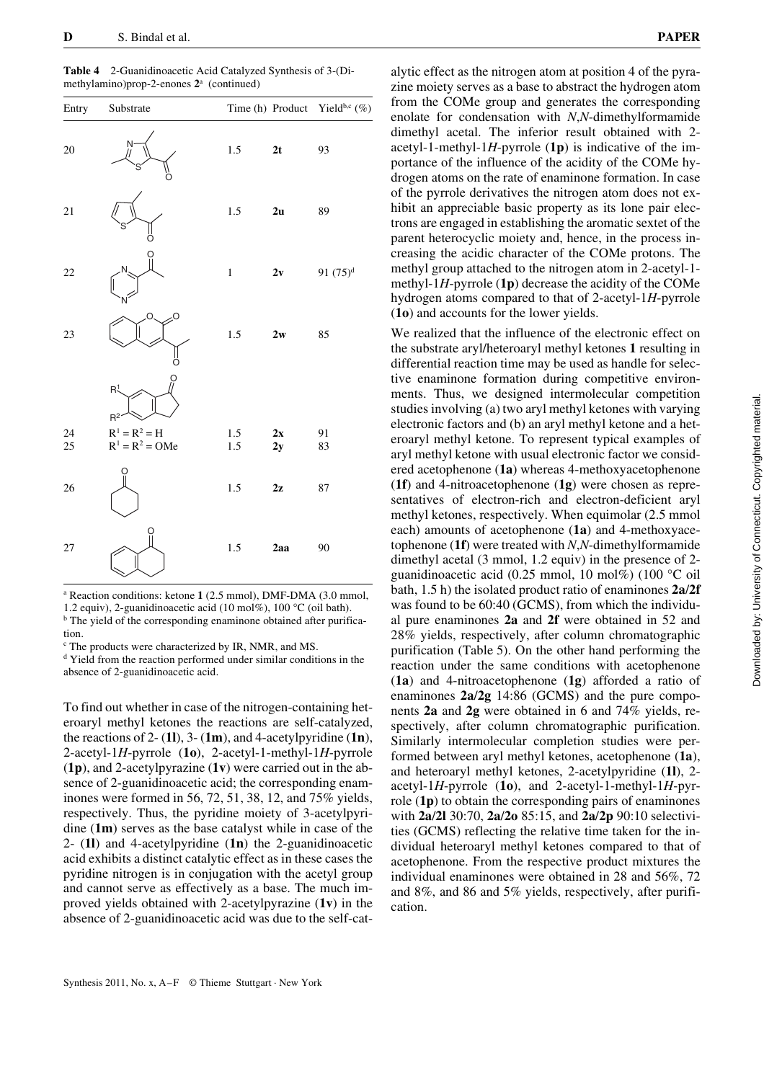| Entry | Substrate               |         |               | Time (h) Product Yield <sup>b,c</sup> $(\%)$ |
|-------|-------------------------|---------|---------------|----------------------------------------------|
| 20    | N                       | 1.5     | 2t            | 93                                           |
| 21    |                         | 1.5     | 2u            | 89                                           |
| 22    |                         | $\,1$   | 2v            | 91 $(75)^d$                                  |
| 23    | Ω<br>Ö                  | $1.5\,$ | $2\mathrm{w}$ | 85                                           |
|       | R <sup>1</sup><br>$R^2$ |         |               |                                              |
| 24    | $R^1 = R^2 = H$         | 1.5     | 2x            | 91                                           |
| 25    | $R^1 = R^2 = OMe$       | 1.5     | 2y            | 83                                           |
| 26    |                         | $1.5\,$ | 2z            | 87                                           |
| 27    |                         | $1.5\,$ | 2aa           | 90                                           |

**Table 4** 2-Guanidinoacetic Acid Catalyzed Synthesis of 3-(Dimethylamino)prop-2-enones **2**<sup>a</sup> (continued)

a Reaction conditions: ketone **1** (2.5 mmol), DMF-DMA (3.0 mmol, 1.2 equiv), 2-guanidinoacetic acid (10 mol%), 100 °C (oil bath).

<sup>b</sup> The yield of the corresponding enaminone obtained after purification.

<sup>c</sup> The products were characterized by IR, NMR, and MS.

d Yield from the reaction performed under similar conditions in the absence of 2-guanidinoacetic acid.

To find out whether in case of the nitrogen-containing heteroaryl methyl ketones the reactions are self-catalyzed, the reactions of 2- (**1l**), 3- (**1m**), and 4-acetylpyridine (**1n**), 2-acetyl-1*H*-pyrrole (**1o**), 2-acetyl-1-methyl-1*H*-pyrrole (**1p**), and 2-acetylpyrazine (**1v**) were carried out in the absence of 2-guanidinoacetic acid; the corresponding enaminones were formed in 56, 72, 51, 38, 12, and 75% yields, respectively. Thus, the pyridine moiety of 3-acetylpyridine (**1m**) serves as the base catalyst while in case of the 2- (**1l**) and 4-acetylpyridine (**1n**) the 2-guanidinoacetic acid exhibits a distinct catalytic effect as in these cases the pyridine nitrogen is in conjugation with the acetyl group and cannot serve as effectively as a base. The much improved yields obtained with 2-acetylpyrazine (**1v**) in the absence of 2-guanidinoacetic acid was due to the self-catalytic effect as the nitrogen atom at position 4 of the pyrazine moiety serves as a base to abstract the hydrogen atom from the COMe group and generates the corresponding enolate for condensation with *N*,*N*-dimethylformamide dimethyl acetal. The inferior result obtained with 2 acetyl-1-methyl-1*H*-pyrrole (**1p**) is indicative of the importance of the influence of the acidity of the COMe hydrogen atoms on the rate of enaminone formation. In case of the pyrrole derivatives the nitrogen atom does not exhibit an appreciable basic property as its lone pair electrons are engaged in establishing the aromatic sextet of the parent heterocyclic moiety and, hence, in the process increasing the acidic character of the COMe protons. The methyl group attached to the nitrogen atom in 2-acetyl-1 methyl-1*H*-pyrrole (**1p**) decrease the acidity of the COMe hydrogen atoms compared to that of 2-acetyl-1*H*-pyrrole (**1o**) and accounts for the lower yields.

We realized that the influence of the electronic effect on the substrate aryl/heteroaryl methyl ketones **1** resulting in differential reaction time may be used as handle for selective enaminone formation during competitive environments. Thus, we designed intermolecular competition studies involving (a) two aryl methyl ketones with varying electronic factors and (b) an aryl methyl ketone and a heteroaryl methyl ketone. To represent typical examples of aryl methyl ketone with usual electronic factor we considered acetophenone (**1a**) whereas 4-methoxyacetophenone (**1f**) and 4-nitroacetophenone (**1g**) were chosen as representatives of electron-rich and electron-deficient aryl methyl ketones, respectively. When equimolar (2.5 mmol each) amounts of acetophenone (**1a**) and 4-methoxyacetophenone (**1f**) were treated with *N*,*N*-dimethylformamide dimethyl acetal (3 mmol, 1.2 equiv) in the presence of 2 guanidinoacetic acid (0.25 mmol, 10 mol%) (100 °C oil bath, 1.5 h) the isolated product ratio of enaminones **2a**/**2f** was found to be  $60:40$  (GCMS), from which the individual pure enaminones **2a** and **2f** were obtained in 52 and 28% yields, respectively, after column chromatographic purification (Table 5). On the other hand performing the reaction under the same conditions with acetophenone (**1a**) and 4-nitroacetophenone (**1g**) afforded a ratio of enaminones **2a**/**2g** 14:86 (GCMS) and the pure components **2a** and **2g** were obtained in 6 and 74% yields, respectively, after column chromatographic purification. Similarly intermolecular completion studies were performed between aryl methyl ketones, acetophenone (**1a**), and heteroaryl methyl ketones, 2-acetylpyridine (**1l**), 2 acetyl-1*H*-pyrrole (**1o**), and 2-acetyl-1-methyl-1*H*-pyrrole (**1p**) to obtain the corresponding pairs of enaminones with **2a**/**2l** 30:70, **2a**/**2o** 85:15, and **2a**/**2p** 90:10 selectivities (GCMS) reflecting the relative time taken for the individual heteroaryl methyl ketones compared to that of acetophenone. From the respective product mixtures the individual enaminones were obtained in 28 and 56%, 72 and 8%, and 86 and 5% yields, respectively, after purification.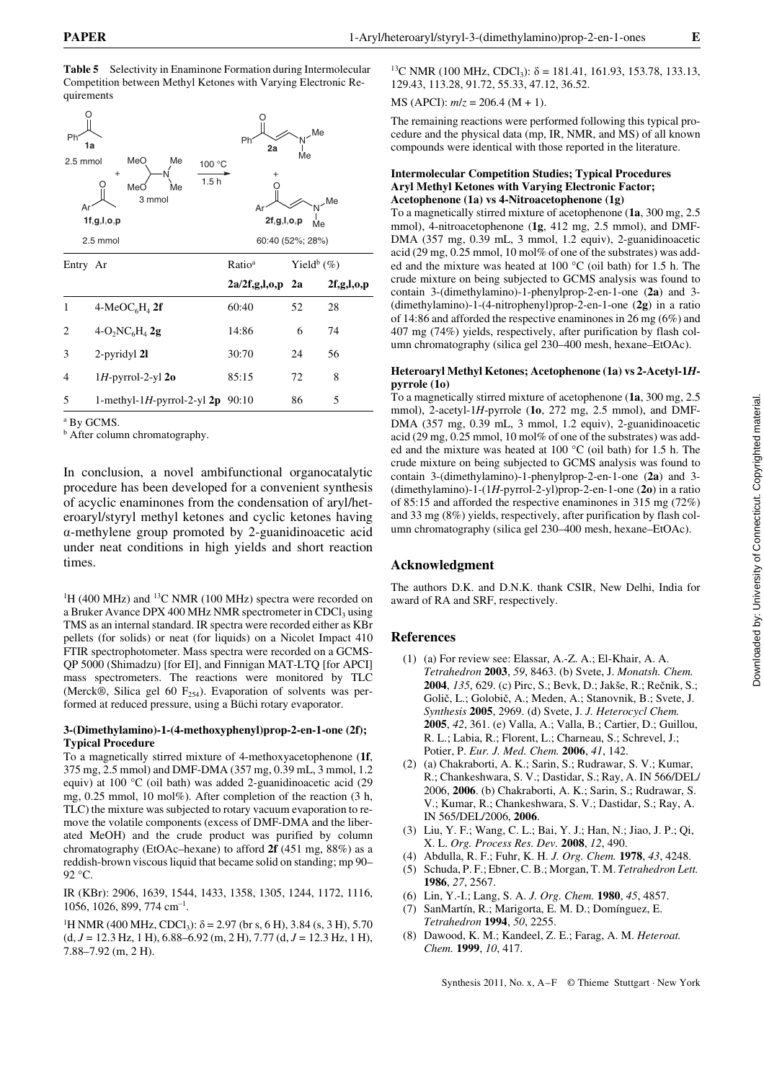Downloaded by: University of Connecticut. Copyrighted material. Downloaded by: University of Connecticut. Copyrighted material.

**Table 5** Selectivity in Enaminone Formation during Intermolecular Competition between Methyl Ketones with Varying Electronic Requirements

| Ph<br>1a<br>2.5 mmol<br>Ar | MeO<br>Me<br>100 °C<br>$+$<br>1.5h<br>MeO<br>Me<br>3 mmol<br>1f, g, l, o, p<br>2.5 mmol | Ph<br>2a<br>A۱<br>2f, g, l, o, p<br>60:40 (52%; 28%) | Me | .Me<br>Me<br>Me           |
|----------------------------|-----------------------------------------------------------------------------------------|------------------------------------------------------|----|---------------------------|
| Entry Ar                   |                                                                                         | Ratio <sup>a</sup>                                   |    | Yield <sup>b</sup> $(\%)$ |
|                            |                                                                                         | $2a/2f, g, l, o, p$ 2a                               |    | 2f,g,l,o,p                |
| 1                          | $4-MeOC6H4$ 2f                                                                          | 60:40                                                | 52 | 28                        |
| 2                          | $4-O_2NC_6H_4$ 2g                                                                       | 14:86                                                | 6  | 74                        |
| 3                          | 2-pyridyl 21                                                                            | 30:70                                                | 24 | 56                        |
| 4                          | $1H$ -pyrrol-2-yl 2o                                                                    | 85:15                                                | 72 | 8                         |
| 5                          | 1-methyl-1H-pyrrol-2-yl $2p$ 90:10                                                      |                                                      | 86 | 5                         |

a By GCMS.

**b** After column chromatography.

In conclusion, a novel ambifunctional organocatalytic procedure has been developed for a convenient synthesis of acyclic enaminones from the condensation of aryl/heteroaryl/styryl methyl ketones and cyclic ketones having a-methylene group promoted by 2-guanidinoacetic acid under neat conditions in high yields and short reaction times.

<sup>1</sup>H (400 MHz) and <sup>13</sup>C NMR (100 MHz) spectra were recorded on a Bruker Avance DPX 400 MHz NMR spectrometer in CDCl<sub>3</sub> using TMS as an internal standard. IR spectra were recorded either as KBr pellets (for solids) or neat (for liquids) on a Nicolet Impact 410 FTIR spectrophotometer. Mass spectra were recorded on a GCMS-QP 5000 (Shimadzu) [for EI], and Finnigan MAT-LTQ [for APCI] mass spectrometers. The reactions were monitored by TLC (Merck®, Silica gel 60  $F_{254}$ ). Evaporation of solvents was performed at reduced pressure, using a Büchi rotary evaporator.

### **3-(Dimethylamino)-1-(4-methoxyphenyl)prop-2-en-1-one (2f); Typical Procedure**

To a magnetically stirred mixture of 4-methoxyacetophenone (**1f**, 375 mg, 2.5 mmol) and DMF-DMA (357 mg, 0.39 mL, 3 mmol, 1.2 equiv) at 100 °C (oil bath) was added 2-guanidinoacetic acid (29 mg, 0.25 mmol, 10 mol%). After completion of the reaction (3 h, TLC) the mixture was subjected to rotary vacuum evaporation to remove the volatile components (excess of DMF-DMA and the liberated MeOH) and the crude product was purified by column chromatography (EtOAc–hexane) to afford **2f** (451 mg, 88%) as a reddish-brown viscous liquid that became solid on standing; mp 90– 92 °C.

IR (KBr): 2906, 1639, 1544, 1433, 1358, 1305, 1244, 1172, 1116, 1056, 1026, 899, 774 cm–1.

<sup>1</sup>H NMR (400 MHz, CDCl<sub>3</sub>):  $\delta$  = 2.97 (br s, 6 H), 3.84 (s, 3 H), 5.70  $(d, J = 12.3 \text{ Hz}, 1 \text{ H}), 6.88 - 6.92 \text{ (m, 2 H)}, 7.77 \text{ (d, } J = 12.3 \text{ Hz}, 1 \text{ H}),$ 7.88–7.92 (m, 2 H).

<sup>13</sup>C NMR (100 MHz, CDCl<sub>3</sub>):  $\delta$  = 181.41, 161.93, 153.78, 133.13, 129.43, 113.28, 91.72, 55.33, 47.12, 36.52.

MS (APCI): *m*/*z* = 206.4 (M + 1).

The remaining reactions were performed following this typical procedure and the physical data (mp, IR, NMR, and MS) of all known compounds were identical with those reported in the literature.

### **Intermolecular Competition Studies; Typical Procedures Aryl Methyl Ketones with Varying Electronic Factor; Acetophenone (1a) vs 4-Nitroacetophenone (1g)**

To a magnetically stirred mixture of acetophenone (**1a**, 300 mg, 2.5 mmol), 4-nitroacetophenone (**1g**, 412 mg, 2.5 mmol), and DMF-DMA (357 mg, 0.39 mL, 3 mmol, 1.2 equiv), 2-guanidinoacetic acid (29 mg, 0.25 mmol, 10 mol% of one of the substrates) was added and the mixture was heated at 100 °C (oil bath) for 1.5 h. The crude mixture on being subjected to GCMS analysis was found to contain 3-(dimethylamino)-1-phenylprop-2-en-1-one (**2a**) and 3- (dimethylamino)-1-(4-nitrophenyl)prop-2-en-1-one (**2g**) in a ratio of 14:86 and afforded the respective enaminones in 26 mg (6%) and 407 mg (74%) yields, respectively, after purification by flash column chromatography (silica gel 230–400 mesh, hexane–EtOAc).

## **Heteroaryl Methyl Ketones; Acetophenone (1a) vs 2-Acetyl-1***H***pyrrole (1o)**

To a magnetically stirred mixture of acetophenone (**1a**, 300 mg, 2.5 mmol), 2-acetyl-1*H*-pyrrole (**1o**, 272 mg, 2.5 mmol), and DMF-DMA (357 mg, 0.39 mL, 3 mmol, 1.2 equiv), 2-guanidinoacetic acid (29 mg, 0.25 mmol, 10 mol% of one of the substrates) was added and the mixture was heated at 100 °C (oil bath) for 1.5 h. The crude mixture on being subjected to GCMS analysis was found to contain 3-(dimethylamino)-1-phenylprop-2-en-1-one (**2a**) and 3- (dimethylamino)-1-(1*H*-pyrrol-2-yl)prop-2-en-1-one (**2o**) in a ratio of 85:15 and afforded the respective enaminones in 315 mg (72%) and 33 mg (8%) yields, respectively, after purification by flash column chromatography (silica gel 230–400 mesh, hexane–EtOAc).

# **Acknowledgment**

The authors D.K. and D.N.K. thank CSIR, New Delhi, India for award of RA and SRF, respectively.

# **References**

- (1) (a) For review see: Elassar, A.-Z. A.; El-Khair, A. A. *Tetrahedron* **2003**, *59*, 8463. (b) Svete, J. *Monatsh. Chem.*  **2004**, *135*, 629. (c) Pirc, S.; Bevk, D.; Jakše, R.; Rečnik, S.; Golič, L.; Golobič, A.; Meden, A.; Stanovnik, B.; Svete, J. *Synthesis* **2005**, 2969. (d) Svete, J. *J. Heterocycl Chem.*  **2005**, *42*, 361. (e) Valla, A.; Valla, B.; Cartier, D.; Guillou, R. L.; Labia, R.; Florent, L.; Charneau, S.; Schrevel, J.; Potier, P. *Eur. J. Med. Chem.* **2006**, *41*, 142.
- (2) (a) Chakraborti, A. K.; Sarin, S.; Rudrawar, S. V.; Kumar, R.; Chankeshwara, S. V.; Dastidar, S.; Ray, A. IN 566/DEL/ 2006, **2006**. (b) Chakraborti, A. K.; Sarin, S.; Rudrawar, S. V.; Kumar, R.; Chankeshwara, S. V.; Dastidar, S.; Ray, A. IN 565/DEL/2006, **2006**.
- (3) Liu, Y. F.; Wang, C. L.; Bai, Y. J.; Han, N.; Jiao, J. P.; Qi, X. L. *Org. Process Res. Dev.* **2008**, *12*, 490.
- (4) Abdulla, R. F.; Fuhr, K. H. *J. Org. Chem.* **1978**, *43*, 4248.
- (5) Schuda, P. F.; Ebner, C. B.; Morgan, T. M. *Tetrahedron Lett.*  **1986**, *27*, 2567.
- (6) Lin, Y.-I.; Lang, S. A. *J. Org. Chem.* **1980**, *45*, 4857.
- (7) SanMartín, R.; Marigorta, E. M. D.; Domínguez, E. *Tetrahedron* **1994**, *50*, 2255.
- (8) Dawood, K. M.; Kandeel, Z. E.; Farag, A. M. *Heteroat. Chem.* **1999**, *10*, 417.